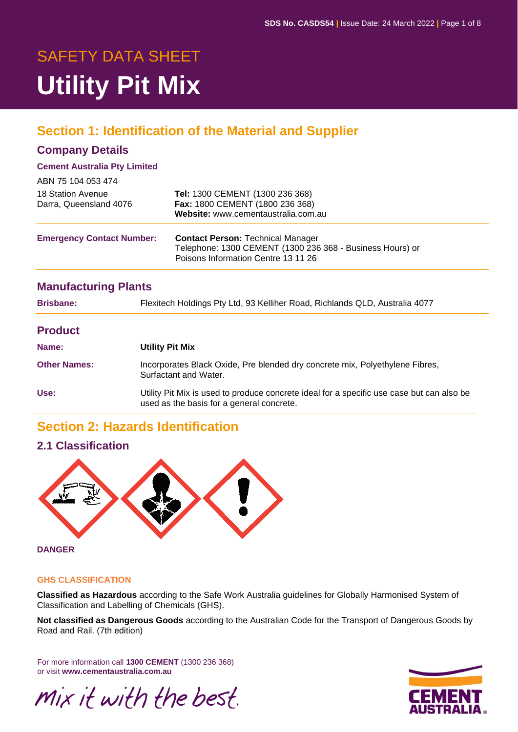# SAFETY DATA SHEET **Utility Pit Mix**

# **Section 1: Identification of the Material and Supplier**

### **Company Details**

#### **Cement Australia Pty Limited**

| ABN 75 104 053 474                          |                                                                                                                                              |
|---------------------------------------------|----------------------------------------------------------------------------------------------------------------------------------------------|
| 18 Station Avenue<br>Darra, Queensland 4076 | Tel: 1300 CEMENT (1300 236 368)<br>Fax: 1800 CEMENT (1800 236 368)<br>Website: www.cementaustralia.com.au                                    |
| <b>Emergency Contact Number:</b>            | <b>Contact Person: Technical Manager</b><br>Telephone: 1300 CEMENT (1300 236 368 - Business Hours) or<br>Poisons Information Centre 13 11 26 |

### **Manufacturing Plants**

| <b>Brisbane:</b>    | Flexitech Holdings Pty Ltd, 93 Kelliher Road, Richlands QLD, Australia 4077                                                            |  |  |  |
|---------------------|----------------------------------------------------------------------------------------------------------------------------------------|--|--|--|
| <b>Product</b>      |                                                                                                                                        |  |  |  |
| Name:               | <b>Utility Pit Mix</b>                                                                                                                 |  |  |  |
| <b>Other Names:</b> | Incorporates Black Oxide, Pre blended dry concrete mix, Polyethylene Fibres,<br>Surfactant and Water.                                  |  |  |  |
| Use:                | Utility Pit Mix is used to produce concrete ideal for a specific use case but can also be<br>used as the basis for a general concrete. |  |  |  |

### **Section 2: Hazards Identification**

### **2.1 Classification**



#### **DANGER**

#### **GHS CLASSIFICATION**

**Classified as Hazardous** according to the Safe Work Australia guidelines for Globally Harmonised System of Classification and Labelling of Chemicals (GHS).

**Not classified as Dangerous Goods** according to the Australian Code for the Transport of Dangerous Goods by Road and Rail. (7th edition)

For more information call **1300 CEMENT** (1300 236 368) or visit **www.cementaustralia.com.au**



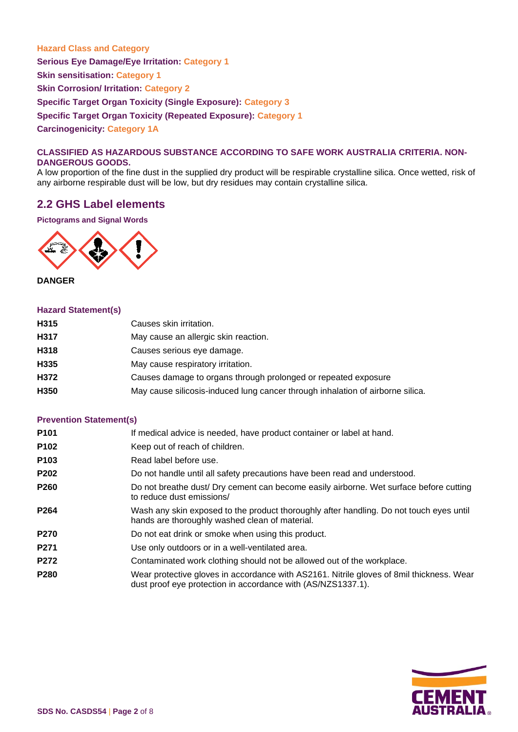**Hazard Class and Category Serious Eye Damage/Eye Irritation: Category 1 Skin sensitisation: Category 1 Skin Corrosion/ Irritation: Category 2 Specific Target Organ Toxicity (Single Exposure): Category 3 Specific Target Organ Toxicity (Repeated Exposure): Category 1 Carcinogenicity: Category 1A**

#### **CLASSIFIED AS HAZARDOUS SUBSTANCE ACCORDING TO SAFE WORK AUSTRALIA CRITERIA. NON-DANGEROUS GOODS.**

A low proportion of the fine dust in the supplied dry product will be respirable crystalline silica. Once wetted, risk of any airborne respirable dust will be low, but dry residues may contain crystalline silica.

### **2.2 GHS Label elements**

**Pictograms and Signal Words**



**DANGER**

#### **Hazard Statement(s)**

| H315 | Causes skin irritation.                                                        |
|------|--------------------------------------------------------------------------------|
| H317 | May cause an allergic skin reaction.                                           |
| H318 | Causes serious eye damage.                                                     |
| H335 | May cause respiratory irritation.                                              |
| H372 | Causes damage to organs through prolonged or repeated exposure                 |
| H350 | May cause silicosis-induced lung cancer through inhalation of airborne silica. |
|      |                                                                                |

#### **Prevention Statement(s)**

| P <sub>101</sub> | If medical advice is needed, have product container or label at hand.                                                                                    |
|------------------|----------------------------------------------------------------------------------------------------------------------------------------------------------|
| P102             | Keep out of reach of children.                                                                                                                           |
| P <sub>103</sub> | Read label before use.                                                                                                                                   |
| P202             | Do not handle until all safety precautions have been read and understood.                                                                                |
| <b>P260</b>      | Do not breathe dust/ Dry cement can become easily airborne. Wet surface before cutting<br>to reduce dust emissions/                                      |
| P <sub>264</sub> | Wash any skin exposed to the product thoroughly after handling. Do not touch eyes until<br>hands are thoroughly washed clean of material.                |
| <b>P270</b>      | Do not eat drink or smoke when using this product.                                                                                                       |
| P271             | Use only outdoors or in a well-ventilated area.                                                                                                          |
| <b>P272</b>      | Contaminated work clothing should not be allowed out of the workplace.                                                                                   |
| <b>P280</b>      | Wear protective gloves in accordance with AS2161. Nitrile gloves of 8mil thickness. Wear<br>dust proof eye protection in accordance with (AS/NZS1337.1). |

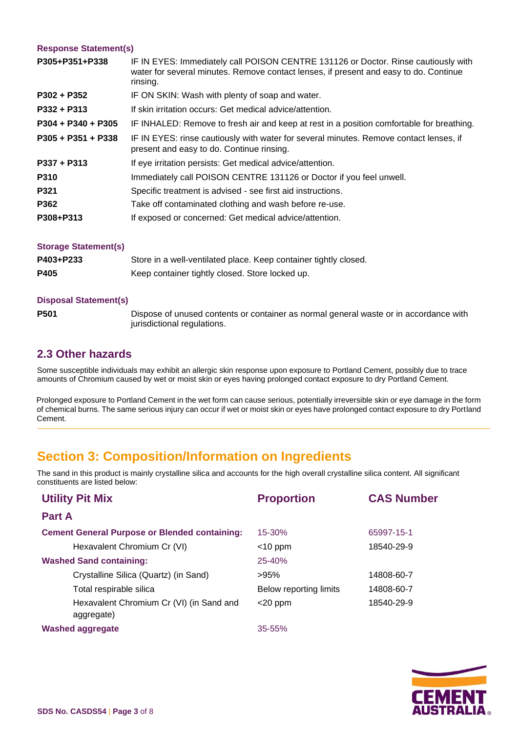#### **Response Statement(s)**

| P305+P351+P338       | IF IN EYES: Immediately call POISON CENTRE 131126 or Doctor. Rinse cautiously with<br>water for several minutes. Remove contact lenses, if present and easy to do. Continue<br>rinsing. |
|----------------------|-----------------------------------------------------------------------------------------------------------------------------------------------------------------------------------------|
| $P302 + P352$        | IF ON SKIN: Wash with plenty of soap and water.                                                                                                                                         |
| $P332 + P313$        | If skin irritation occurs: Get medical advice/attention.                                                                                                                                |
| $P304 + P340 + P305$ | IF INHALED: Remove to fresh air and keep at rest in a position comfortable for breathing.                                                                                               |
| $P305 + P351 + P338$ | IF IN EYES: rinse cautiously with water for several minutes. Remove contact lenses, if<br>present and easy to do. Continue rinsing.                                                     |
| $P337 + P313$        | If eye irritation persists: Get medical advice/attention.                                                                                                                               |
| P310                 | Immediately call POISON CENTRE 131126 or Doctor if you feel unwell.                                                                                                                     |
| <b>P321</b>          | Specific treatment is advised - see first aid instructions.                                                                                                                             |
| P362                 | Take off contaminated clothing and wash before re-use.                                                                                                                                  |
| P308+P313            | If exposed or concerned: Get medical advice/attention.                                                                                                                                  |
| Storage Statement(c) |                                                                                                                                                                                         |

| <b>UNIQUE URIGINITY OF</b> |                                                                  |
|----------------------------|------------------------------------------------------------------|
| P403+P233                  | Store in a well-ventilated place. Keep container tightly closed. |
| P405                       | Keep container tightly closed. Store locked up.                  |

#### **Disposal Statement(s)**

**P501** Dispose of unused contents or container as normal general waste or in accordance with jurisdictional regulations.

### **2.3 Other hazards**

Some susceptible individuals may exhibit an allergic skin response upon exposure to Portland Cement, possibly due to trace amounts of Chromium caused by wet or moist skin or eyes having prolonged contact exposure to dry Portland Cement.

Prolonged exposure to Portland Cement in the wet form can cause serious, potentially irreversible skin or eye damage in the form of chemical burns. The same serious injury can occur if wet or moist skin or eyes have prolonged contact exposure to dry Portland Cement.

# **Section 3: Composition/Information on Ingredients**

The sand in this product is mainly crystalline silica and accounts for the high overall crystalline silica content. All significant constituents are listed below:

| <b>Utility Pit Mix</b>                                 | <b>Proportion</b>      | <b>CAS Number</b> |
|--------------------------------------------------------|------------------------|-------------------|
| <b>Part A</b>                                          |                        |                   |
| <b>Cement General Purpose or Blended containing:</b>   | $15 - 30%$             | 65997-15-1        |
| Hexavalent Chromium Cr (VI)                            | $<$ 10 ppm             | 18540-29-9        |
| <b>Washed Sand containing:</b>                         | $25 - 40%$             |                   |
| Crystalline Silica (Quartz) (in Sand)                  | >95%                   | 14808-60-7        |
| Total respirable silica                                | Below reporting limits | 14808-60-7        |
| Hexavalent Chromium Cr (VI) (in Sand and<br>aggregate) | $<$ 20 ppm             | 18540-29-9        |
| <b>Washed aggregate</b>                                | $35 - 55%$             |                   |

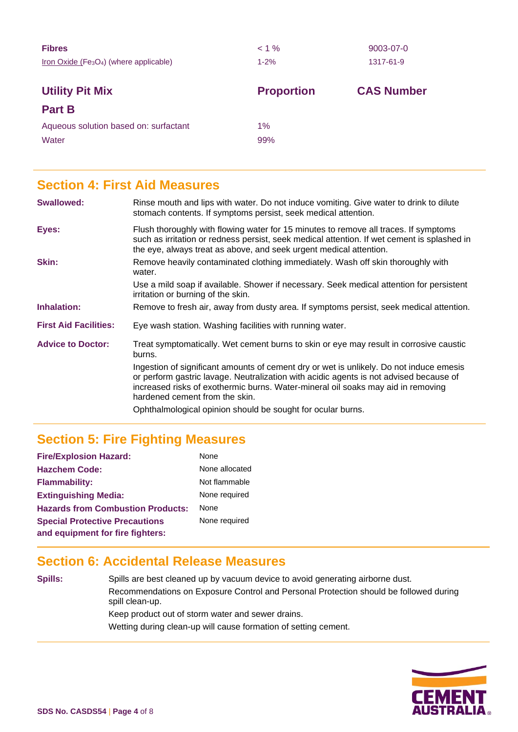| <b>Fibres</b><br>$Iron Oxide (Fe3O4)$ (where applicable) | $< 1\%$<br>$1 - 2%$ | 9003-07-0<br>1317-61-9 |
|----------------------------------------------------------|---------------------|------------------------|
| <b>Utility Pit Mix</b><br><b>Part B</b>                  | <b>Proportion</b>   | <b>CAS Number</b>      |
| Aqueous solution based on: surfactant<br>Water           | 1%<br>99%           |                        |

### **Section 4: First Aid Measures**

| <b>Swallowed:</b>            | Rinse mouth and lips with water. Do not induce vomiting. Give water to drink to dilute<br>stomach contents. If symptoms persist, seek medical attention.                                                                                                                                                |  |  |  |
|------------------------------|---------------------------------------------------------------------------------------------------------------------------------------------------------------------------------------------------------------------------------------------------------------------------------------------------------|--|--|--|
| Eyes:                        | Flush thoroughly with flowing water for 15 minutes to remove all traces. If symptoms<br>such as irritation or redness persist, seek medical attention. If wet cement is splashed in<br>the eye, always treat as above, and seek urgent medical attention.                                               |  |  |  |
| <b>Skin:</b>                 | Remove heavily contaminated clothing immediately. Wash off skin thoroughly with<br>water.                                                                                                                                                                                                               |  |  |  |
|                              | Use a mild soap if available. Shower if necessary. Seek medical attention for persistent<br>irritation or burning of the skin.                                                                                                                                                                          |  |  |  |
| Inhalation:                  | Remove to fresh air, away from dusty area. If symptoms persist, seek medical attention.                                                                                                                                                                                                                 |  |  |  |
| <b>First Aid Facilities:</b> | Eye wash station. Washing facilities with running water.                                                                                                                                                                                                                                                |  |  |  |
| <b>Advice to Doctor:</b>     | Treat symptomatically. Wet cement burns to skin or eye may result in corrosive caustic<br>burns.                                                                                                                                                                                                        |  |  |  |
|                              | Ingestion of significant amounts of cement dry or wet is unlikely. Do not induce emesis<br>or perform gastric lavage. Neutralization with acidic agents is not advised because of<br>increased risks of exothermic burns. Water-mineral oil soaks may aid in removing<br>hardened cement from the skin. |  |  |  |
|                              | Ophthalmological opinion should be sought for ocular burns.                                                                                                                                                                                                                                             |  |  |  |

# **Section 5: Fire Fighting Measures**

| <b>Fire/Explosion Hazard:</b>            | None           |
|------------------------------------------|----------------|
| <b>Hazchem Code:</b>                     | None allocated |
| <b>Flammability:</b>                     | Not flammable  |
| <b>Extinguishing Media:</b>              | None required  |
| <b>Hazards from Combustion Products:</b> | <b>None</b>    |
| <b>Special Protective Precautions</b>    | None required  |
| and equipment for fire fighters:         |                |

# **Section 6: Accidental Release Measures**

**Spills:** Spills are best cleaned up by vacuum device to avoid generating airborne dust. Recommendations on Exposure Control and Personal Protection should be followed during spill clean-up. Keep product out of storm water and sewer drains. Wetting during clean-up will cause formation of setting cement.

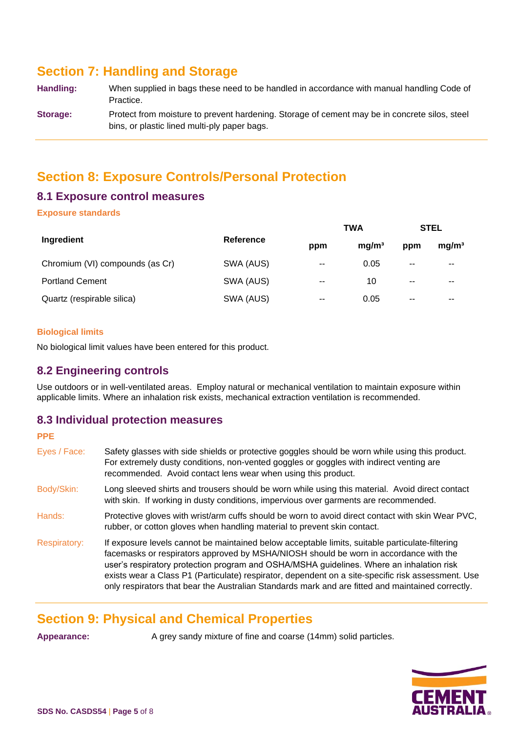# **Section 7: Handling and Storage**

| Handling: | When supplied in bags these need to be handled in accordance with manual handling Code of     |
|-----------|-----------------------------------------------------------------------------------------------|
|           | Practice.                                                                                     |
| Storage:  | Protect from moisture to prevent hardening. Storage of cement may be in concrete silos, steel |
|           | bins, or plastic lined multi-ply paper bags.                                                  |

# **Section 8: Exposure Controls/Personal Protection**

### **8.1 Exposure control measures**

#### **Exposure standards**

|                                 | Reference<br>ppm |                | <b>TWA</b>        | <b>STEL</b> |                   |
|---------------------------------|------------------|----------------|-------------------|-------------|-------------------|
| Ingredient                      |                  |                | ma/m <sup>3</sup> | ppm         | mg/m <sup>3</sup> |
| Chromium (VI) compounds (as Cr) | SWA (AUS)        | $-$            | 0.05              | $- -$       | $\sim$ $\sim$     |
| <b>Portland Cement</b>          | SWA (AUS)        | $-$            | 10                | $-$         | $\sim$ $\sim$     |
| Quartz (respirable silica)      | SWA (AUS)        | $\overline{a}$ | 0.05              | $-$         | $- -$             |

#### **Biological limits**

No biological limit values have been entered for this product.

### **8.2 Engineering controls**

Use outdoors or in well-ventilated areas. Employ natural or mechanical ventilation to maintain exposure within applicable limits. Where an inhalation risk exists, mechanical extraction ventilation is recommended.

### **8.3 Individual protection measures**

### **PPE**  Eyes / Face: Safety glasses with side shields or protective goggles should be worn while using this product. For extremely dusty conditions, non-vented goggles or goggles with indirect venting are recommended. Avoid contact lens wear when using this product. Body/Skin: Long sleeved shirts and trousers should be worn while using this material. Avoid direct contact with skin. If working in dusty conditions, impervious over garments are recommended. Hands: Protective gloves with wrist/arm cuffs should be worn to avoid direct contact with skin Wear PVC, rubber, or cotton gloves when handling material to prevent skin contact. Respiratory: If exposure levels cannot be maintained below acceptable limits, suitable particulate-filtering facemasks or respirators approved by MSHA/NIOSH should be worn in accordance with the user's respiratory protection program and OSHA/MSHA guidelines. Where an inhalation risk exists wear a Class P1 (Particulate) respirator, dependent on a site-specific risk assessment. Use only respirators that bear the Australian Standards mark and are fitted and maintained correctly.

# **Section 9: Physical and Chemical Properties**

**Appearance:** A grey sandy mixture of fine and coarse (14mm) solid particles.

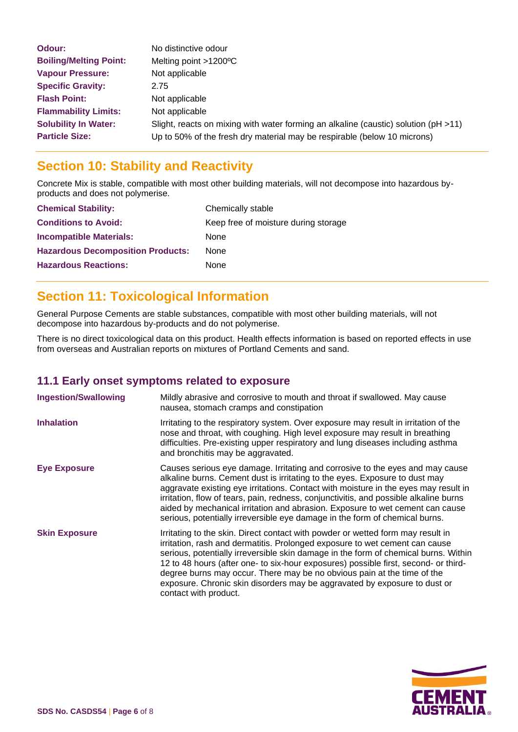| Odour:                        | No distinctive odour                                                                     |
|-------------------------------|------------------------------------------------------------------------------------------|
| <b>Boiling/Melting Point:</b> | Melting point >1200°C                                                                    |
| <b>Vapour Pressure:</b>       | Not applicable                                                                           |
| <b>Specific Gravity:</b>      | 2.75                                                                                     |
| <b>Flash Point:</b>           | Not applicable                                                                           |
| <b>Flammability Limits:</b>   | Not applicable                                                                           |
| <b>Solubility In Water:</b>   | Slight, reacts on mixing with water forming an alkaline (caustic) solution ( $pH > 11$ ) |
| <b>Particle Size:</b>         | Up to 50% of the fresh dry material may be respirable (below 10 microns)                 |

# **Section 10: Stability and Reactivity**

Concrete Mix is stable, compatible with most other building materials, will not decompose into hazardous byproducts and does not polymerise.

| <b>Chemical Stability:</b>               | Chemically stable                    |
|------------------------------------------|--------------------------------------|
| <b>Conditions to Avoid:</b>              | Keep free of moisture during storage |
| <b>Incompatible Materials:</b>           | None                                 |
| <b>Hazardous Decomposition Products:</b> | <b>None</b>                          |
| <b>Hazardous Reactions:</b>              | None                                 |

# **Section 11: Toxicological Information**

General Purpose Cements are stable substances, compatible with most other building materials, will not decompose into hazardous by-products and do not polymerise.

There is no direct toxicological data on this product. Health effects information is based on reported effects in use from overseas and Australian reports on mixtures of Portland Cements and sand.

### **11.1 Early onset symptoms related to exposure**

| <b>Ingestion/Swallowing</b> | Mildly abrasive and corrosive to mouth and throat if swallowed. May cause<br>nausea, stomach cramps and constipation                                                                                                                                                                                                                                                                                                                                                                                                          |
|-----------------------------|-------------------------------------------------------------------------------------------------------------------------------------------------------------------------------------------------------------------------------------------------------------------------------------------------------------------------------------------------------------------------------------------------------------------------------------------------------------------------------------------------------------------------------|
| <b>Inhalation</b>           | Irritating to the respiratory system. Over exposure may result in irritation of the<br>nose and throat, with coughing. High level exposure may result in breathing<br>difficulties. Pre-existing upper respiratory and lung diseases including asthma<br>and bronchitis may be aggravated.                                                                                                                                                                                                                                    |
| <b>Eye Exposure</b>         | Causes serious eye damage. Irritating and corrosive to the eyes and may cause<br>alkaline burns. Cement dust is irritating to the eyes. Exposure to dust may<br>aggravate existing eye irritations. Contact with moisture in the eyes may result in<br>irritation, flow of tears, pain, redness, conjunctivitis, and possible alkaline burns<br>aided by mechanical irritation and abrasion. Exposure to wet cement can cause<br>serious, potentially irreversible eye damage in the form of chemical burns.                  |
| <b>Skin Exposure</b>        | Irritating to the skin. Direct contact with powder or wetted form may result in<br>irritation, rash and dermatitis. Prolonged exposure to wet cement can cause<br>serious, potentially irreversible skin damage in the form of chemical burns. Within<br>12 to 48 hours (after one- to six-hour exposures) possible first, second- or third-<br>degree burns may occur. There may be no obvious pain at the time of the<br>exposure. Chronic skin disorders may be aggravated by exposure to dust or<br>contact with product. |

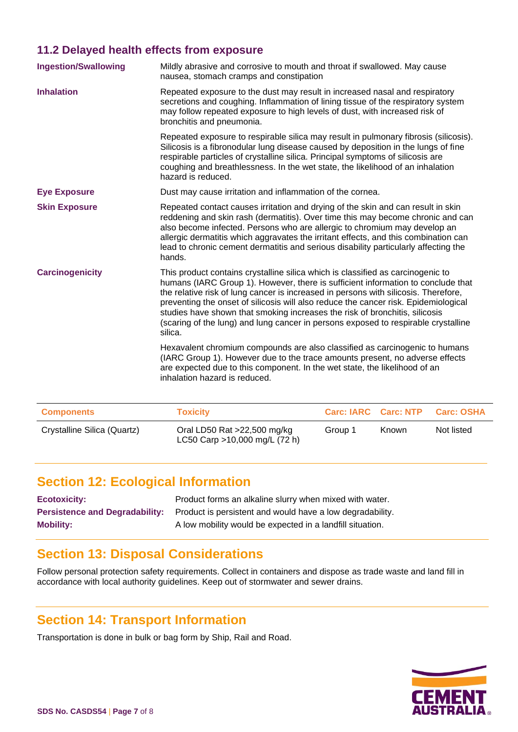### **11.2 Delayed health effects from exposure**

| <b>Ingestion/Swallowing</b> | Mildly abrasive and corrosive to mouth and throat if swallowed. May cause<br>nausea, stomach cramps and constipation                                                                                                                                                                                                                                                                                                                                                                                                              |
|-----------------------------|-----------------------------------------------------------------------------------------------------------------------------------------------------------------------------------------------------------------------------------------------------------------------------------------------------------------------------------------------------------------------------------------------------------------------------------------------------------------------------------------------------------------------------------|
| <b>Inhalation</b>           | Repeated exposure to the dust may result in increased nasal and respiratory<br>secretions and coughing. Inflammation of lining tissue of the respiratory system<br>may follow repeated exposure to high levels of dust, with increased risk of<br>bronchitis and pneumonia.                                                                                                                                                                                                                                                       |
|                             | Repeated exposure to respirable silica may result in pulmonary fibrosis (silicosis).<br>Silicosis is a fibronodular lung disease caused by deposition in the lungs of fine<br>respirable particles of crystalline silica. Principal symptoms of silicosis are<br>coughing and breathlessness. In the wet state, the likelihood of an inhalation<br>hazard is reduced.                                                                                                                                                             |
| <b>Eye Exposure</b>         | Dust may cause irritation and inflammation of the cornea.                                                                                                                                                                                                                                                                                                                                                                                                                                                                         |
| <b>Skin Exposure</b>        | Repeated contact causes irritation and drying of the skin and can result in skin<br>reddening and skin rash (dermatitis). Over time this may become chronic and can<br>also become infected. Persons who are allergic to chromium may develop an<br>allergic dermatitis which aggravates the irritant effects, and this combination can<br>lead to chronic cement dermatitis and serious disability particularly affecting the<br>hands.                                                                                          |
| <b>Carcinogenicity</b>      | This product contains crystalline silica which is classified as carcinogenic to<br>humans (IARC Group 1). However, there is sufficient information to conclude that<br>the relative risk of lung cancer is increased in persons with silicosis. Therefore,<br>preventing the onset of silicosis will also reduce the cancer risk. Epidemiological<br>studies have shown that smoking increases the risk of bronchitis, silicosis<br>(scaring of the lung) and lung cancer in persons exposed to respirable crystalline<br>silica. |
|                             | Hexavalent chromium compounds are also classified as carcinogenic to humans<br>(IARC Group 1). However due to the trace amounts present, no adverse effects<br>are expected due to this component. In the wet state, the likelihood of an<br>inhalation hazard is reduced.                                                                                                                                                                                                                                                        |

| <b>Components</b>           | <b>Toxicity</b>                                                | <b>Carc: IARC Carc: NTP</b> |              | <b>Carc: OSHA</b> |
|-----------------------------|----------------------------------------------------------------|-----------------------------|--------------|-------------------|
| Crystalline Silica (Quartz) | Oral LD50 Rat $>22,500$ mg/kg<br>LC50 Carp >10,000 mg/L (72 h) | Group 1                     | <b>Known</b> | Not listed        |

# **Section 12: Ecological Information**

| <b>Ecotoxicity:</b> | Product forms an alkaline slurry when mixed with water.                                         |
|---------------------|-------------------------------------------------------------------------------------------------|
|                     | <b>Persistence and Degradability:</b> Product is persistent and would have a low degradability. |
| <b>Mobility:</b>    | A low mobility would be expected in a landfill situation.                                       |

### **Section 13: Disposal Considerations**

Follow personal protection safety requirements. Collect in containers and dispose as trade waste and land fill in accordance with local authority guidelines. Keep out of stormwater and sewer drains.

### **Section 14: Transport Information**

Transportation is done in bulk or bag form by Ship, Rail and Road.